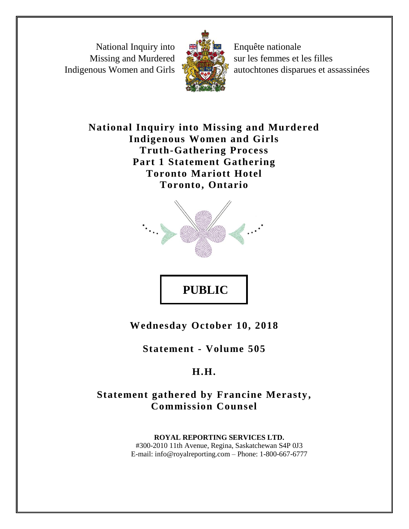National Inquiry into Missing and Murdered Indigenous Women and Girls



Enquête nationale sur les femmes et les filles autochtones disparues et assassinées

**National Inquiry into Missing and Murdered Indigenous Women and Girls Truth-Gathering Process Part 1 Statement Gathering Toronto Mariott Hotel Toronto, Ontario**



**Wednesday October 10, 2018**

**Statement - Volume 505**

## **H.H.**

## **Statement gathered by Francine Merasty, Commission Counsel**

**ROYAL REPORTING SERVICES LTD.** #300-2010 11th Avenue, Regina, Saskatchewan S4P 0J3 E-mail: info@royalreporting.com – Phone: 1-800-667-6777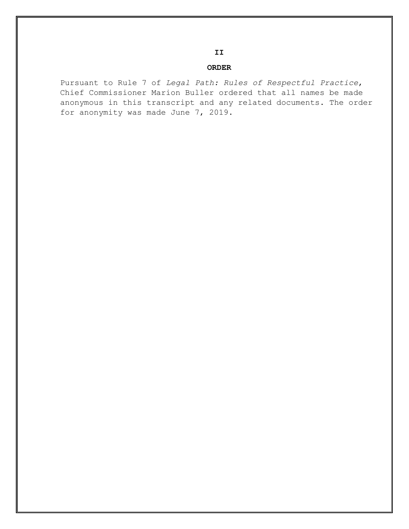## **ORDER**

Pursuant to Rule 7 of *Legal Path: Rules of Respectful Practice*, Chief Commissioner Marion Buller ordered that all names be made anonymous in this transcript and any related documents. The order for anonymity was made June 7, 2019.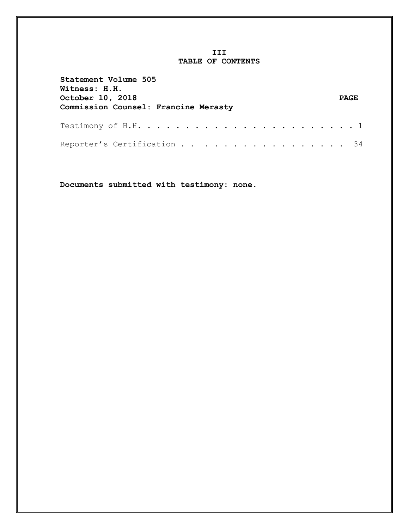## **III TABLE OF CONTENTS**

| Statement Volume 505<br><b>Witness: H.H.</b><br><b>October 10, 2018</b><br>Commission Counsel: Francine Merasty | <b>PAGE</b> |
|-----------------------------------------------------------------------------------------------------------------|-------------|
|                                                                                                                 |             |
| Reporter's Certification 34                                                                                     |             |

**Documents submitted with testimony: none.**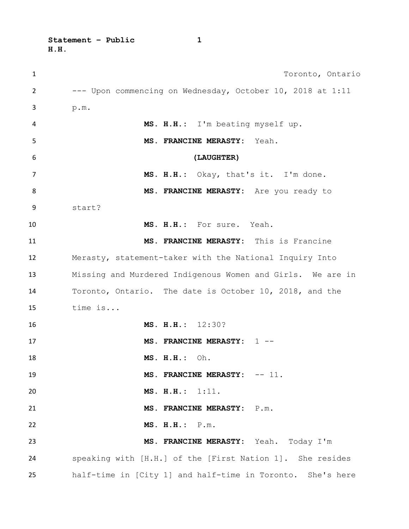**Statement – Public 1 H.H.** 

| 1  | Toronto, Ontario                                           |
|----|------------------------------------------------------------|
| 2  | --- Upon commencing on Wednesday, October 10, 2018 at 1:11 |
| 3  | p.m.                                                       |
| 4  | MS. H.H.: I'm beating myself up.                           |
| 5  | MS. FRANCINE MERASTY: Yeah.                                |
| 6  | (LAUGHTER)                                                 |
| 7  | MS. H.H.: Okay, that's it. I'm done.                       |
| 8  | MS. FRANCINE MERASTY: Are you ready to                     |
| 9  | start?                                                     |
| 10 | MS. H.H.: For sure. Yeah.                                  |
| 11 | MS. FRANCINE MERASTY: This is Francine                     |
| 12 | Merasty, statement-taker with the National Inquiry Into    |
| 13 | Missing and Murdered Indigenous Women and Girls. We are in |
| 14 | Toronto, Ontario. The date is October 10, 2018, and the    |
| 15 | time is                                                    |
| 16 | MS. H.H.: 12:30?                                           |
| 17 | MS. FRANCINE MERASTY: 1 --                                 |
| 18 | MS. H.H.:<br>Oh.                                           |
| 19 | MS. FRANCINE MERASTY: -- 11.                               |
| 20 | MS. H.H.: 1:11.                                            |
| 21 | MS. FRANCINE MERASTY: P.m.                                 |
| 22 | MS. H.H.: P.m.                                             |
| 23 | MS. FRANCINE MERASTY: Yeah. Today I'm                      |
| 24 | speaking with [H.H.] of the [First Nation 1]. She resides  |
| 25 | half-time in [City 1] and half-time in Toronto. She's here |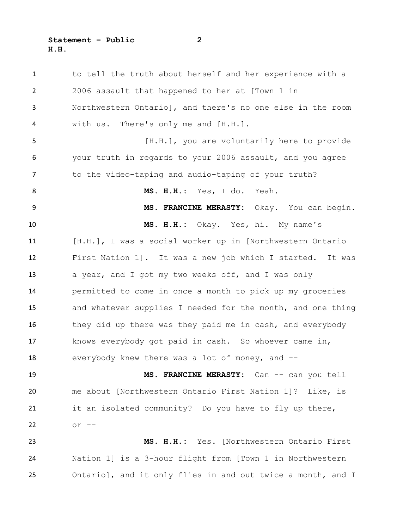to tell the truth about herself and her experience with a 2006 assault that happened to her at [Town 1 in Northwestern Ontario], and there's no one else in the room with us. There's only me and [H.H.]. **120 [H.H.]**, you are voluntarily here to provide your truth in regards to your 2006 assault, and you agree to the video-taping and audio-taping of your truth? **MS. H.H.:** Yes, I do. Yeah. **MS. FRANCINE MERASTY:** Okay. You can begin. **MS. H.H.:** Okay. Yes, hi. My name's [H.H.], I was a social worker up in [Northwestern Ontario First Nation 1]. It was a new job which I started. It was 13 a year, and I got my two weeks off, and I was only permitted to come in once a month to pick up my groceries and whatever supplies I needed for the month, and one thing 16 they did up there was they paid me in cash, and everybody knows everybody got paid in cash. So whoever came in, everybody knew there was a lot of money, and -- 19 MS. FRANCINE MERASTY: Can -- can you tell me about [Northwestern Ontario First Nation 1]? Like, is 21 it an isolated community? Do you have to fly up there, or -- **MS. H.H.:** Yes. [Northwestern Ontario First Nation 1] is a 3-hour flight from [Town 1 in Northwestern Ontario], and it only flies in and out twice a month, and I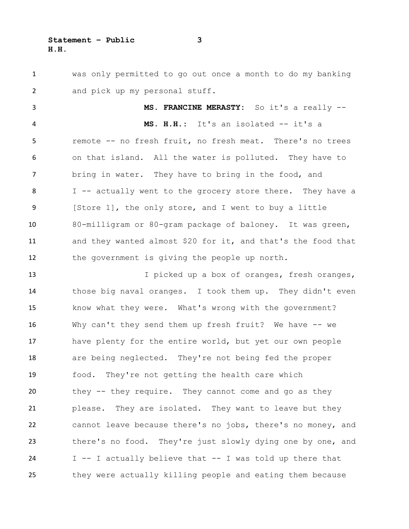was only permitted to go out once a month to do my banking and pick up my personal stuff.

 **MS. FRANCINE MERASTY:** So it's a really -- **MS. H.H.:** It's an isolated -- it's a remote -- no fresh fruit, no fresh meat. There's no trees on that island. All the water is polluted. They have to bring in water. They have to bring in the food, and 8 I -- actually went to the grocery store there. They have a [Store 1], the only store, and I went to buy a little 80-milligram or 80-gram package of baloney. It was green, and they wanted almost \$20 for it, and that's the food that the government is giving the people up north.

 I picked up a box of oranges, fresh oranges, those big naval oranges. I took them up. They didn't even know what they were. What's wrong with the government? Why can't they send them up fresh fruit? We have -- we have plenty for the entire world, but yet our own people are being neglected. They're not being fed the proper food. They're not getting the health care which they -- they require. They cannot come and go as they please. They are isolated. They want to leave but they cannot leave because there's no jobs, there's no money, and there's no food. They're just slowly dying one by one, and I -- I actually believe that -- I was told up there that they were actually killing people and eating them because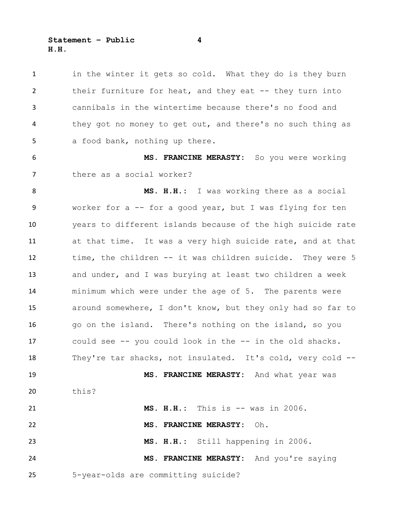**Statement – Public 4 H.H.** 

1 in the winter it gets so cold. What they do is they burn their furniture for heat, and they eat -- they turn into cannibals in the wintertime because there's no food and they got no money to get out, and there's no such thing as 5 a food bank, nothing up there.

 **MS. FRANCINE MERASTY:** So you were working there as a social worker?

 **MS. H.H.:** I was working there as a social worker for a -- for a good year, but I was flying for ten years to different islands because of the high suicide rate at that time. It was a very high suicide rate, and at that time, the children -- it was children suicide. They were 5 and under, and I was burying at least two children a week minimum which were under the age of 5. The parents were around somewhere, I don't know, but they only had so far to go on the island. There's nothing on the island, so you could see -- you could look in the -- in the old shacks. They're tar shacks, not insulated. It's cold, very cold -- **MS. FRANCINE MERASTY:** And what year was this? **MS. H.H.:** This is -- was in 2006. **MS. FRANCINE MERASTY:** Oh. **MS. H.H.:** Still happening in 2006. **MS. FRANCINE MERASTY:** And you're saying

5-year-olds are committing suicide?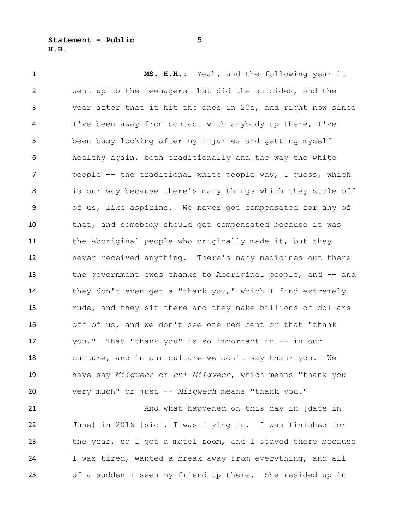**Statement – Public 5 H.H.** 

 **MS. H.H.:** Yeah, and the following year it went up to the teenagers that did the suicides, and the year after that it hit the ones in 20s, and right now since I've been away from contact with anybody up there, I've been busy looking after my injuries and getting myself healthy again, both traditionally and the way the white people -- the traditional white people way, I guess, which 8 is our way because there's many things which they stole off of us, like aspirins. We never got compensated for any of that, and somebody should get compensated because it was 11 the Aboriginal people who originally made it, but they never received anything. There's many medicines out there the government owes thanks to Aboriginal people, and -- and they don't even get a "thank you," which I find extremely rude, and they sit there and they make billions of dollars off of us, and we don't see one red cent or that "thank you." That "thank you" is so important in -- in our culture, and in our culture we don't say thank you. We have say *Miigwech* or *chi-Miigwech*, which means "thank you very much" or just -- *Miigwech* means "thank you."

21 And what happened on this day in [date in June] in 2016 [sic], I was flying in. I was finished for the year, so I got a motel room, and I stayed there because I was tired, wanted a break away from everything, and all of a sudden I seen my friend up there. She resided up in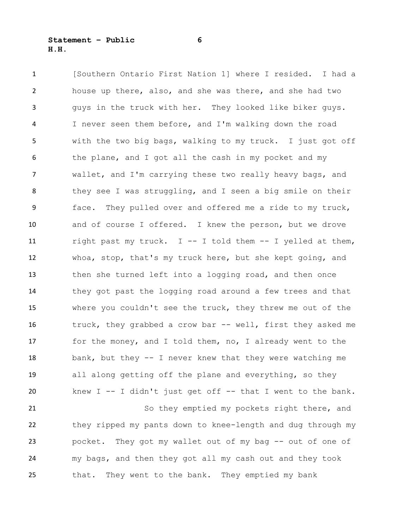[Southern Ontario First Nation 1] where I resided. I had a house up there, also, and she was there, and she had two guys in the truck with her. They looked like biker guys. I never seen them before, and I'm walking down the road with the two big bags, walking to my truck. I just got off 6 the plane, and I got all the cash in my pocket and my wallet, and I'm carrying these two really heavy bags, and 8 they see I was struggling, and I seen a big smile on their face. They pulled over and offered me a ride to my truck, and of course I offered. I knew the person, but we drove right past my truck. I -- I told them -- I yelled at them, whoa, stop, that's my truck here, but she kept going, and then she turned left into a logging road, and then once they got past the logging road around a few trees and that where you couldn't see the truck, they threw me out of the 16 truck, they grabbed a crow bar -- well, first they asked me for the money, and I told them, no, I already went to the 18 bank, but they -- I never knew that they were watching me all along getting off the plane and everything, so they knew I -- I didn't just get off -- that I went to the bank.

21 So they emptied my pockets right there, and they ripped my pants down to knee-length and dug through my pocket. They got my wallet out of my bag -- out of one of my bags, and then they got all my cash out and they took that. They went to the bank. They emptied my bank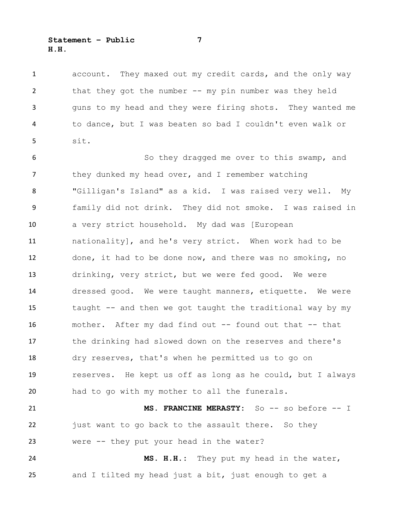account. They maxed out my credit cards, and the only way that they got the number -- my pin number was they held guns to my head and they were firing shots. They wanted me to dance, but I was beaten so bad I couldn't even walk or sit.

 So they dragged me over to this swamp, and 7 they dunked my head over, and I remember watching "Gilligan's Island" as a kid. I was raised very well. My family did not drink. They did not smoke. I was raised in a very strict household. My dad was [European nationality], and he's very strict. When work had to be done, it had to be done now, and there was no smoking, no drinking, very strict, but we were fed good. We were dressed good. We were taught manners, etiquette. We were taught -- and then we got taught the traditional way by my mother. After my dad find out -- found out that -- that the drinking had slowed down on the reserves and there's dry reserves, that's when he permitted us to go on reserves. He kept us off as long as he could, but I always had to go with my mother to all the funerals. **MS. FRANCINE MERASTY:** So -- so before -- I 22 just want to go back to the assault there. So they

 were -- they put your head in the water? **MS. H.H.:** They put my head in the water, and I tilted my head just a bit, just enough to get a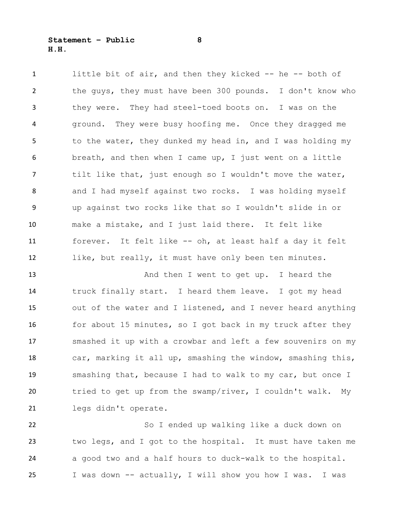little bit of air, and then they kicked -- he -- both of the guys, they must have been 300 pounds. I don't know who they were. They had steel-toed boots on. I was on the ground. They were busy hoofing me. Once they dragged me 5 to the water, they dunked my head in, and I was holding my breath, and then when I came up, I just went on a little tilt like that, just enough so I wouldn't move the water, 8 and I had myself against two rocks. I was holding myself up against two rocks like that so I wouldn't slide in or make a mistake, and I just laid there. It felt like forever. It felt like -- oh, at least half a day it felt like, but really, it must have only been ten minutes.

13 And then I went to get up. I heard the truck finally start. I heard them leave. I got my head out of the water and I listened, and I never heard anything 16 for about 15 minutes, so I got back in my truck after they smashed it up with a crowbar and left a few souvenirs on my car, marking it all up, smashing the window, smashing this, smashing that, because I had to walk to my car, but once I tried to get up from the swamp/river, I couldn't walk. My legs didn't operate.

 So I ended up walking like a duck down on two legs, and I got to the hospital. It must have taken me a good two and a half hours to duck-walk to the hospital. I was down -- actually, I will show you how I was. I was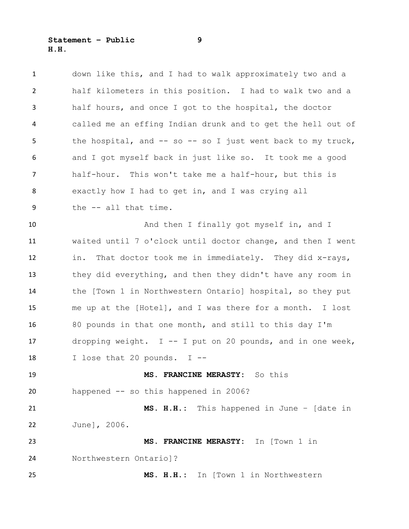**Statement – Public 9 H.H.** 

| $\mathbf{1}$   | down like this, and I had to walk approximately two and a     |
|----------------|---------------------------------------------------------------|
| $\overline{2}$ | half kilometers in this position. I had to walk two and a     |
| 3              | half hours, and once I got to the hospital, the doctor        |
| 4              | called me an effing Indian drunk and to get the hell out of   |
| 5              | the hospital, and $-$ so $-$ so I just went back to my truck, |
| 6              | and I got myself back in just like so. It took me a good      |
| 7              | half-hour. This won't take me a half-hour, but this is        |
| 8              | exactly how I had to get in, and I was crying all             |
| 9              | the -- all that time.                                         |
| 10             | And then I finally got myself in, and I                       |
| 11             | waited until 7 o'clock until doctor change, and then I went   |
| 12             | That doctor took me in immediately. They did x-rays,<br>in.   |
| 13             | they did everything, and then they didn't have any room in    |
| 14             | the [Town 1 in Northwestern Ontario] hospital, so they put    |
| 15             | me up at the [Hotel], and I was there for a month. I lost     |
| 16             | 80 pounds in that one month, and still to this day I'm        |
| 17             | dropping weight. $I$ -- I put on 20 pounds, and in one week,  |
| 18             | I lose that 20 pounds. I --                                   |
| 19             | MS. FRANCINE MERASTY: So this                                 |
| 20             | happened -- so this happened in 2006?                         |
| 21             | MS. H.H.: This happened in June - [date in                    |
| 22             | June], 2006.                                                  |
| 23             | MS. FRANCINE MERASTY: In [Town 1 in                           |
| 24             | Northwestern Ontario]?                                        |
| 25             | MS. H.H.: In [Town 1 in Northwestern                          |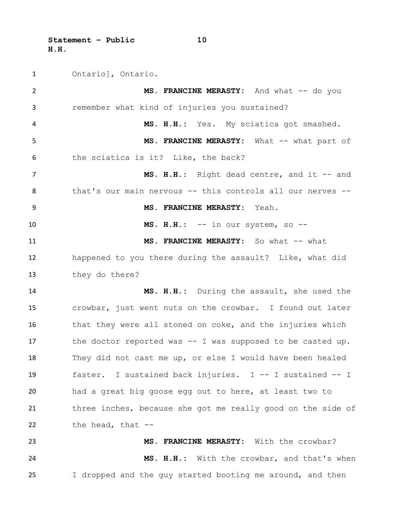**Statement – Public 10 H.H.** 

Ontario], Ontario.

 MS. FRANCINE MERASTY: And what -- do you remember what kind of injuries you sustained? **MS. H.H.:** Yes. My sciatica got smashed. 5 MS. FRANCINE MERASTY: What -- what part of the sciatica is it? Like, the back? 7 MS. H.H.: Right dead centre, and it -- and 8 that's our main nervous -- this controls all our nerves -- **MS. FRANCINE MERASTY:** Yeah. **MS. H.H.:** -- in our system, so -- **MS. FRANCINE MERASTY:** So what -- what happened to you there during the assault? Like, what did they do there? **MS. H.H.:** During the assault, she used the crowbar, just went nuts on the crowbar. I found out later 16 that they were all stoned on coke, and the injuries which 17 the doctor reported was -- I was supposed to be casted up. They did not cast me up, or else I would have been healed faster. I sustained back injuries. I -- I sustained -- I had a great big goose egg out to here, at least two to three inches, because she got me really good on the side of the head, that -- **MS. FRANCINE MERASTY:** With the crowbar? **MS. H.H.:** With the crowbar, and that's when I dropped and the guy started booting me around, and then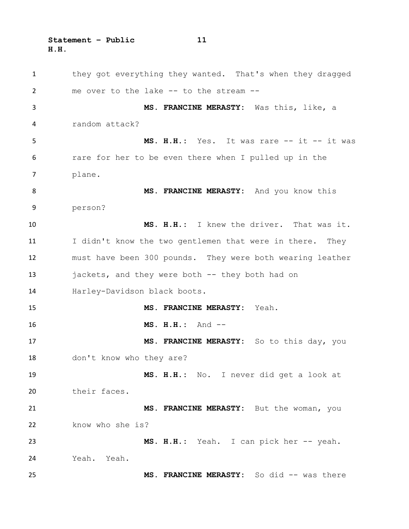**Statement – Public 11 H.H.** 

1 they got everything they wanted. That's when they dragged me over to the lake -- to the stream -- **MS. FRANCINE MERASTY:** Was this, like, a random attack? 5 MS. H.H.: Yes. It was rare -- it -- it was rare for her to be even there when I pulled up in the plane. **MS. FRANCINE MERASTY:** And you know this person? **MS. H.H.:** I knew the driver. That was it. 11 I didn't know the two gentlemen that were in there. They must have been 300 pounds. They were both wearing leather jackets, and they were both -- they both had on Harley-Davidson black boots. **MS. FRANCINE MERASTY:** Yeah. **MS. H.H.:** And -- **MS. FRANCINE MERASTY:** So to this day, you don't know who they are? **MS. H.H.:** No. I never did get a look at their faces. **MS. FRANCINE MERASTY:** But the woman, you 22 know who she is? 23 MS. H.H.: Yeah. I can pick her -- yeah. Yeah. Yeah. **MS. FRANCINE MERASTY:** So did -- was there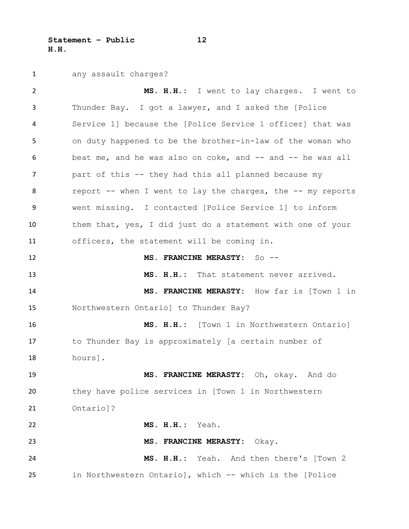**Statement – Public 12 H.H.** 

any assault charges?

 **MS. H.H.:** I went to lay charges. I went to Thunder Bay. I got a lawyer, and I asked the [Police Service 1] because the [Police Service 1 officer] that was on duty happened to be the brother-in-law of the woman who beat me, and he was also on coke, and -- and -- he was all part of this -- they had this all planned because my 8 report -- when I went to lay the charges, the -- my reports went missing. I contacted [Police Service 1] to inform them that, yes, I did just do a statement with one of your officers, the statement will be coming in. **MS. FRANCINE MERASTY:** So -- **MS. H.H.:** That statement never arrived. **MS. FRANCINE MERASTY:** How far is [Town 1 in Northwestern Ontario] to Thunder Bay? **MS. H.H.:** [Town 1 in Northwestern Ontario] to Thunder Bay is approximately [a certain number of hours]. **MS. FRANCINE MERASTY:** Oh, okay. And do they have police services in [Town 1 in Northwestern Ontario]? **MS. H.H.:** Yeah. **MS. FRANCINE MERASTY:** Okay. **MS. H.H.:** Yeah. And then there's [Town 2 in Northwestern Ontario], which -- which is the [Police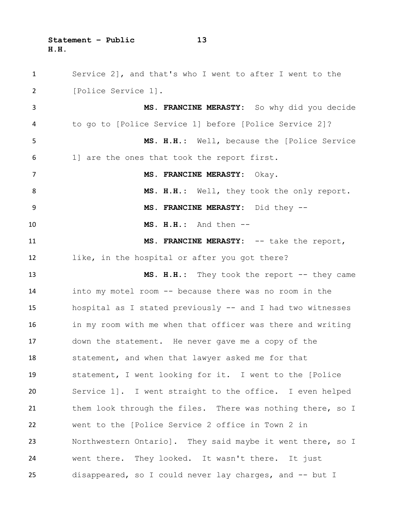**Statement – Public 13 H.H.** 

 Service 2], and that's who I went to after I went to the [Police Service 1]. **MS. FRANCINE MERASTY:** So why did you decide to go to [Police Service 1] before [Police Service 2]? **MS. H.H.:** Well, because the [Police Service 1] are the ones that took the report first. **MS. FRANCINE MERASTY:** Okay. 8 MS. H.H.: Well, they took the only report. **MS. FRANCINE MERASTY:** Did they -- **MS. H.H.:** And then -- **MS. FRANCINE MERASTY:** -- take the report, like, in the hospital or after you got there? **MS. H.H.:** They took the report -- they came into my motel room -- because there was no room in the hospital as I stated previously -- and I had two witnesses in my room with me when that officer was there and writing down the statement. He never gave me a copy of the statement, and when that lawyer asked me for that statement, I went looking for it. I went to the [Police Service 1]. I went straight to the office. I even helped 21 them look through the files. There was nothing there, so I went to the [Police Service 2 office in Town 2 in Northwestern Ontario]. They said maybe it went there, so I went there. They looked. It wasn't there. It just disappeared, so I could never lay charges, and -- but I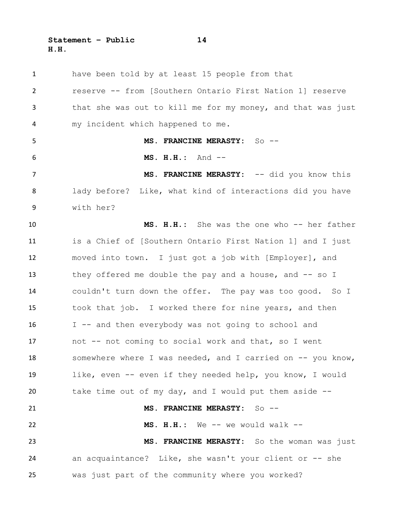**Statement – Public 14 H.H.** 

 have been told by at least 15 people from that reserve -- from [Southern Ontario First Nation 1] reserve that she was out to kill me for my money, and that was just my incident which happened to me. **MS. FRANCINE MERASTY:** So -- **MS. H.H.:** And -- **MS. FRANCINE MERASTY:** -- did you know this lady before? Like, what kind of interactions did you have with her? **MS. H.H.:** She was the one who -- her father is a Chief of [Southern Ontario First Nation 1] and I just moved into town. I just got a job with [Employer], and 13 they offered me double the pay and a house, and -- so I couldn't turn down the offer. The pay was too good. So I took that job. I worked there for nine years, and then I -- and then everybody was not going to school and not -- not coming to social work and that, so I went 18 somewhere where I was needed, and I carried on -- you know, like, even -- even if they needed help, you know, I would take time out of my day, and I would put them aside -- **MS. FRANCINE MERASTY:** So -- **MS. H.H.:** We -- we would walk -- **MS. FRANCINE MERASTY:** So the woman was just an acquaintance? Like, she wasn't your client or -- she was just part of the community where you worked?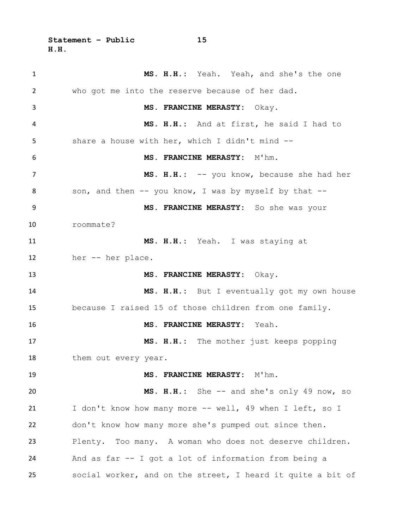**Statement – Public 15 H.H.** 

 **MS. H.H.:** Yeah. Yeah, and she's the one who got me into the reserve because of her dad. **MS. FRANCINE MERASTY:** Okay. **MS. H.H.:** And at first, he said I had to share a house with her, which I didn't mind -- **MS. FRANCINE MERASTY:** M'hm. **MS. H.H.:** -- you know, because she had her 8 son, and then -- you know, I was by myself by that -- **MS. FRANCINE MERASTY:** So she was your roommate? **MS. H.H.:** Yeah. I was staying at her -- her place. **MS. FRANCINE MERASTY:** Okay. **MS. H.H.:** But I eventually got my own house because I raised 15 of those children from one family. **MS. FRANCINE MERASTY:** Yeah. **MS. H.H.:** The mother just keeps popping 18 them out every year. 19 MS. FRANCINE MERASTY: M'hm. **MS. H.H.:** She -- and she's only 49 now, so 21 I don't know how many more -- well, 49 when I left, so I don't know how many more she's pumped out since then. Plenty. Too many. A woman who does not deserve children. And as far -- I got a lot of information from being a social worker, and on the street, I heard it quite a bit of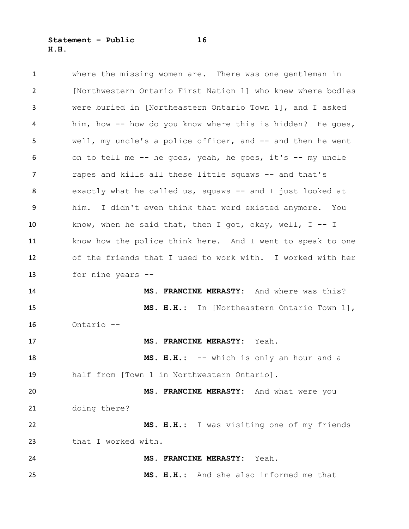**Statement – Public 16 H.H.** 

| $\mathbf{1}$ | where the missing women are. There was one gentleman in     |
|--------------|-------------------------------------------------------------|
| 2            | [Northwestern Ontario First Nation 1] who knew where bodies |
| 3            | were buried in [Northeastern Ontario Town 1], and I asked   |
| 4            | him, how -- how do you know where this is hidden? He goes,  |
| 5            | well, my uncle's a police officer, and -- and then he went  |
| 6            | on to tell me -- he goes, yeah, he goes, it's -- my uncle   |
| 7            | rapes and kills all these little squaws -- and that's       |
| 8            | exactly what he called us, squaws -- and I just looked at   |
| 9            | him. I didn't even think that word existed anymore. You     |
| 10           | know, when he said that, then I got, okay, well, $I - - I$  |
| 11           | know how the police think here. And I went to speak to one  |
| 12           | of the friends that I used to work with. I worked with her  |
| 13           | for nine years --                                           |
| 14           | MS. FRANCINE MERASTY: And where was this?                   |
| 15           | MS. H.H.: In [Northeastern Ontario Town 1],                 |
| 16           | Ontario --                                                  |
| 17           | MS. FRANCINE MERASTY: Yeah.                                 |
| 18           | MS. H.H.: -- which is only an hour and a                    |
| 19           | half from [Town 1 in Northwestern Ontario].                 |
| 20           | MS. FRANCINE MERASTY: And what were you                     |
| 21           | doing there?                                                |
| 22           | MS. H.H.: I was visiting one of my friends                  |
| 23           | that I worked with.                                         |
| 24           | MS. FRANCINE MERASTY: Yeah.                                 |
| 25           | MS. H.H.: And she also informed me that                     |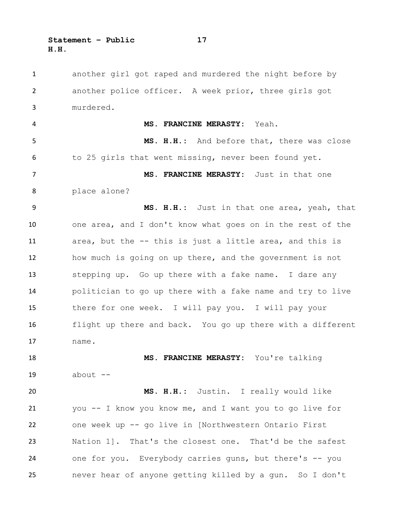another girl got raped and murdered the night before by another police officer. A week prior, three girls got murdered. **MS. FRANCINE MERASTY:** Yeah. **MS. H.H.:** And before that, there was close to 25 girls that went missing, never been found yet. **MS. FRANCINE MERASTY:** Just in that one place alone? **MS. H.H.:** Just in that one area, yeah, that one area, and I don't know what goes on in the rest of the area, but the -- this is just a little area, and this is how much is going on up there, and the government is not stepping up. Go up there with a fake name. I dare any politician to go up there with a fake name and try to live there for one week. I will pay you. I will pay your flight up there and back. You go up there with a different name. **MS. FRANCINE MERASTY:** You're talking about -- **MS. H.H.:** Justin. I really would like you -- I know you know me, and I want you to go live for one week up -- go live in [Northwestern Ontario First Nation 1]. That's the closest one. That'd be the safest one for you. Everybody carries guns, but there's -- you never hear of anyone getting killed by a gun. So I don't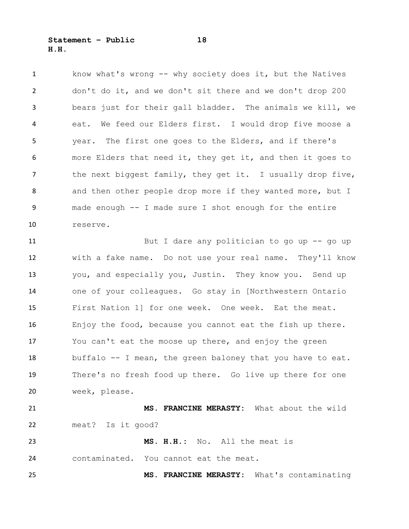know what's wrong -- why society does it, but the Natives don't do it, and we don't sit there and we don't drop 200 bears just for their gall bladder. The animals we kill, we eat. We feed our Elders first. I would drop five moose a year. The first one goes to the Elders, and if there's more Elders that need it, they get it, and then it goes to 7 the next biggest family, they get it. I usually drop five, 8 and then other people drop more if they wanted more, but I made enough -- I made sure I shot enough for the entire reserve.

 But I dare any politician to go up -- go up with a fake name. Do not use your real name. They'll know you, and especially you, Justin. They know you. Send up one of your colleagues. Go stay in [Northwestern Ontario First Nation 1] for one week. One week. Eat the meat. Enjoy the food, because you cannot eat the fish up there. You can't eat the moose up there, and enjoy the green buffalo -- I mean, the green baloney that you have to eat. There's no fresh food up there. Go live up there for one week, please. **MS. FRANCINE MERASTY:** What about the wild meat? Is it good?

 **MS. H.H.:** No. All the meat is contaminated. You cannot eat the meat.

**MS. FRANCINE MERASTY:** What's contaminating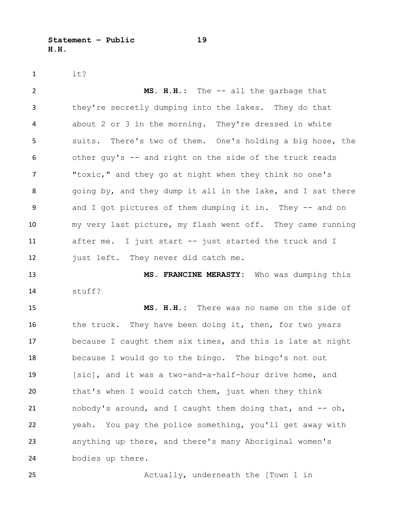**Statement – Public 19 H.H.** 

it?

 **MS. H.H.:** The -- all the garbage that they're secretly dumping into the lakes. They do that about 2 or 3 in the morning. They're dressed in white suits. There's two of them. One's holding a big hose, the other guy's -- and right on the side of the truck reads "toxic," and they go at night when they think no one's 8 going by, and they dump it all in the lake, and I sat there 9 and I got pictures of them dumping it in. They -- and on my very last picture, my flash went off. They came running after me. I just start -- just started the truck and I 12 just left. They never did catch me. **MS. FRANCINE MERASTY:** Who was dumping this stuff? **MS. H.H.:** There was no name on the side of

16 the truck. They have been doing it, then, for two years because I caught them six times, and this is late at night because I would go to the bingo. The bingo's not out [sic], and it was a two-and-a-half-hour drive home, and that's when I would catch them, just when they think nobody's around, and I caught them doing that, and -- oh, yeah. You pay the police something, you'll get away with anything up there, and there's many Aboriginal women's bodies up there.

Actually, underneath the [Town 1 in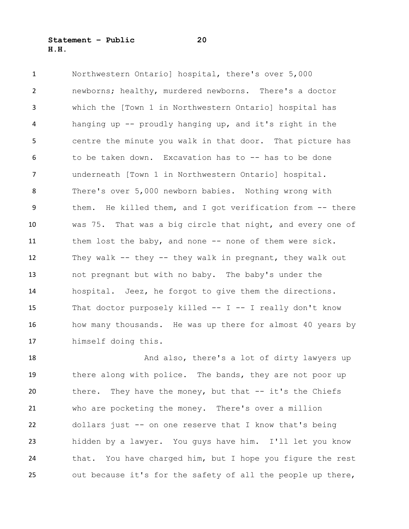**Statement – Public 20 H.H.** 

 Northwestern Ontario] hospital, there's over 5,000 newborns; healthy, murdered newborns. There's a doctor which the [Town 1 in Northwestern Ontario] hospital has hanging up -- proudly hanging up, and it's right in the centre the minute you walk in that door. That picture has to be taken down. Excavation has to -- has to be done underneath [Town 1 in Northwestern Ontario] hospital. There's over 5,000 newborn babies. Nothing wrong with them. He killed them, and I got verification from -- there was 75. That was a big circle that night, and every one of 11 them lost the baby, and none -- none of them were sick. They walk -- they -- they walk in pregnant, they walk out not pregnant but with no baby. The baby's under the hospital. Jeez, he forgot to give them the directions. 15 That doctor purposely killed -- I -- I really don't know 16 how many thousands. He was up there for almost 40 years by himself doing this.

18 And also, there's a lot of dirty lawyers up there along with police. The bands, they are not poor up there. They have the money, but that -- it's the Chiefs who are pocketing the money. There's over a million dollars just -- on one reserve that I know that's being hidden by a lawyer. You guys have him. I'll let you know that. You have charged him, but I hope you figure the rest out because it's for the safety of all the people up there,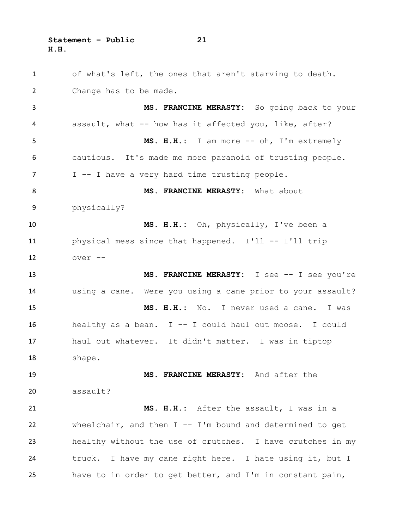**Statement – Public 21 H.H.** 

 of what's left, the ones that aren't starving to death. Change has to be made. **MS. FRANCINE MERASTY:** So going back to your assault, what -- how has it affected you, like, after? **MS. H.H.:** I am more -- oh, I'm extremely cautious. It's made me more paranoid of trusting people. I -- I have a very hard time trusting people. 8 MS. FRANCINE MERASTY: What about physically? **MS. H.H.:** Oh, physically, I've been a physical mess since that happened. I'll -- I'll trip over -- **MS. FRANCINE MERASTY:** I see -- I see you're using a cane. Were you using a cane prior to your assault? **MS. H.H.:** No. I never used a cane. I was 16 healthy as a bean. I -- I could haul out moose. I could haul out whatever. It didn't matter. I was in tiptop shape. **MS. FRANCINE MERASTY:** And after the assault? **MS. H.H.:** After the assault, I was in a wheelchair, and then I -- I'm bound and determined to get healthy without the use of crutches. I have crutches in my truck. I have my cane right here. I hate using it, but I have to in order to get better, and I'm in constant pain,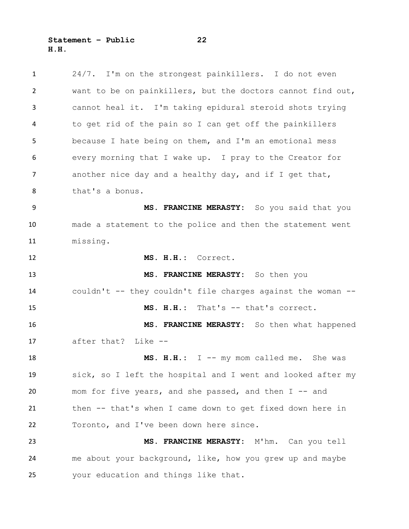24/7. I'm on the strongest painkillers. I do not even want to be on painkillers, but the doctors cannot find out, cannot heal it. I'm taking epidural steroid shots trying to get rid of the pain so I can get off the painkillers because I hate being on them, and I'm an emotional mess every morning that I wake up. I pray to the Creator for 7 another nice day and a healthy day, and if I get that, that's a bonus. **MS. FRANCINE MERASTY:** So you said that you made a statement to the police and then the statement went missing. **MS. H.H.:** Correct. **MS. FRANCINE MERASTY:** So then you couldn't -- they couldn't file charges against the woman -- **MS. H.H.:** That's -- that's correct. **MS. FRANCINE MERASTY:** So then what happened after that? Like -- **MS. H.H.:** I -- my mom called me. She was sick, so I left the hospital and I went and looked after my 20 mom for five years, and she passed, and then I -- and then -- that's when I came down to get fixed down here in Toronto, and I've been down here since. **MS. FRANCINE MERASTY:** M'hm. Can you tell me about your background, like, how you grew up and maybe your education and things like that.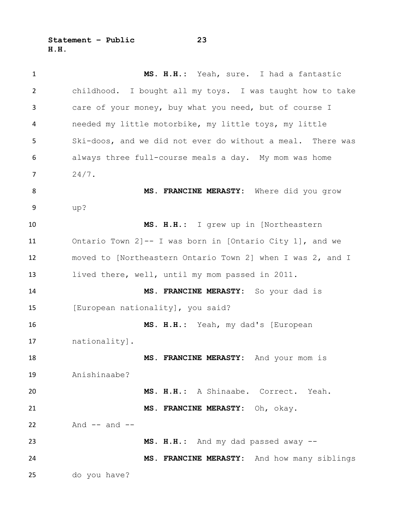**Statement – Public 23 H.H.** 

 **MS. H.H.:** Yeah, sure. I had a fantastic childhood. I bought all my toys. I was taught how to take care of your money, buy what you need, but of course I needed my little motorbike, my little toys, my little Ski-doos, and we did not ever do without a meal. There was always three full-course meals a day. My mom was home  $7 \t24/7.$ 8 MS. FRANCINE MERASTY: Where did you grow up? **MS. H.H.:** I grew up in [Northeastern Ontario Town 2]-- I was born in [Ontario City 1], and we moved to [Northeastern Ontario Town 2] when I was 2, and I lived there, well, until my mom passed in 2011. **MS. FRANCINE MERASTY:** So your dad is [European nationality], you said? **MS. H.H.:** Yeah, my dad's [European nationality]. **MS. FRANCINE MERASTY:** And your mom is Anishinaabe? **MS. H.H.:** A Shinaabe. Correct. Yeah. **MS. FRANCINE MERASTY:** Oh, okay. And  $--$  and  $--$  **MS. H.H.:** And my dad passed away -- **MS. FRANCINE MERASTY:** And how many siblings do you have?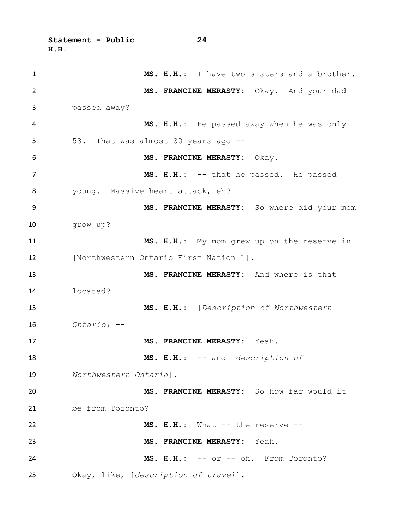**Statement – Public 24 H.H.** 

 **MS. H.H.:** I have two sisters and a brother. **MS. FRANCINE MERASTY:** Okay. And your dad passed away? **MS. H.H.:** He passed away when he was only 53. That was almost 30 years ago -- **MS. FRANCINE MERASTY:** Okay. 7 MS. H.H.: -- that he passed. He passed young. Massive heart attack, eh? **MS. FRANCINE MERASTY:** So where did your mom grow up? **MS. H.H.:** My mom grew up on the reserve in **Industern Ontario First Nation 11. MS. FRANCINE MERASTY:** And where is that located? **MS. H.H.:** [*Description of Northwestern Ontario]* -- **MS. FRANCINE MERASTY:** Yeah. **MS. H.H.:** -- and [*description of Northwestern Ontario*]*.*  **MS. FRANCINE MERASTY:** So how far would it be from Toronto? **MS. H.H.:** What -- the reserve -- **MS. FRANCINE MERASTY:** Yeah. **MS. H.H.:** -- or -- oh. From Toronto? Okay, like, [*description of travel*].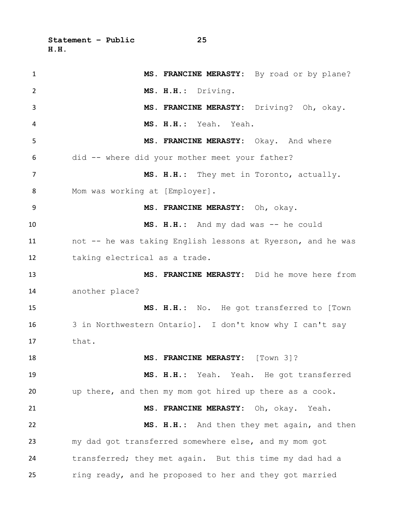**Statement – Public 25 H.H.** 

 **MS. FRANCINE MERASTY:** By road or by plane? **MS. H.H.:** Driving. **MS. FRANCINE MERASTY:** Driving? Oh, okay. **MS. H.H.:** Yeah. Yeah. **MS. FRANCINE MERASTY:** Okay. And where did -- where did your mother meet your father? **MS. H.H.:** They met in Toronto, actually. Mom was working at [Employer]. **MS. FRANCINE MERASTY:** Oh, okay. **MS. H.H.:** And my dad was -- he could not -- he was taking English lessons at Ryerson, and he was taking electrical as a trade. **MS. FRANCINE MERASTY:** Did he move here from another place? **MS. H.H.:** No. He got transferred to [Town 3 in Northwestern Ontario]. I don't know why I can't say that. **MS. FRANCINE MERASTY:** [Town 3]? **MS. H.H.:** Yeah. Yeah. He got transferred up there, and then my mom got hired up there as a cook. **MS. FRANCINE MERASTY:** Oh, okay. Yeah. **MS. H.H.:** And then they met again, and then my dad got transferred somewhere else, and my mom got transferred; they met again. But this time my dad had a ring ready, and he proposed to her and they got married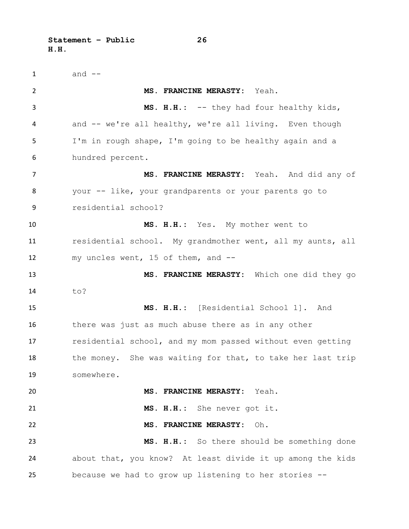**Statement – Public 26 H.H.** 

 and  $-$  **MS. FRANCINE MERASTY:** Yeah. **MS. H.H.:** -- they had four healthy kids, 4 and -- we're all healthy, we're all living. Even though I'm in rough shape, I'm going to be healthy again and a hundred percent. **MS. FRANCINE MERASTY:** Yeah. And did any of your -- like, your grandparents or your parents go to residential school? **MS. H.H.:** Yes. My mother went to residential school. My grandmother went, all my aunts, all my uncles went, 15 of them, and -- **MS. FRANCINE MERASTY:** Which one did they go to? **MS. H.H.:** [Residential School 1]. And there was just as much abuse there as in any other residential school, and my mom passed without even getting 18 the money. She was waiting for that, to take her last trip somewhere. **MS. FRANCINE MERASTY:** Yeah. **MS. H.H.:** She never got it. **MS. FRANCINE MERASTY:** Oh. **MS. H.H.:** So there should be something done about that, you know? At least divide it up among the kids because we had to grow up listening to her stories --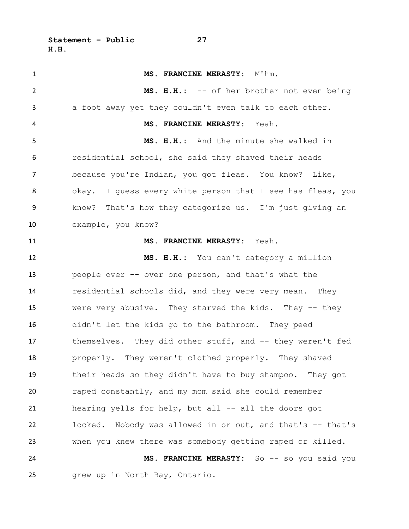1 MS. FRANCINE MERASTY: M'hm. **MS. H.H.:** -- of her brother not even being a foot away yet they couldn't even talk to each other. **MS. FRANCINE MERASTY:** Yeah. **MS. H.H.:** And the minute she walked in residential school, she said they shaved their heads because you're Indian, you got fleas. You know? Like, 8 okay. I guess every white person that I see has fleas, you know? That's how they categorize us. I'm just giving an example, you know? **MS. FRANCINE MERASTY:** Yeah. **MS. H.H.:** You can't category a million people over -- over one person, and that's what the residential schools did, and they were very mean. They were very abusive. They starved the kids. They -- they didn't let the kids go to the bathroom. They peed themselves. They did other stuff, and -- they weren't fed properly. They weren't clothed properly. They shaved their heads so they didn't have to buy shampoo. They got raped constantly, and my mom said she could remember hearing yells for help, but all -- all the doors got locked. Nobody was allowed in or out, and that's -- that's when you knew there was somebody getting raped or killed. **MS. FRANCINE MERASTY:** So -- so you said you grew up in North Bay, Ontario.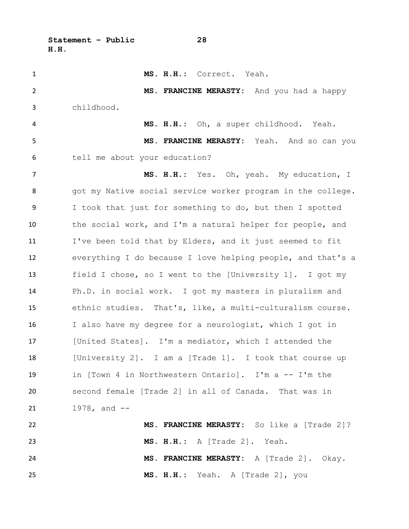**Statement – Public 28 H.H.** 

 **MS. H.H.:** Correct. Yeah. **MS. FRANCINE MERASTY:** And you had a happy childhood. **MS. H.H.:** Oh, a super childhood. Yeah. **MS. FRANCINE MERASTY:** Yeah. And so can you tell me about your education? **MS. H.H.:** Yes. Oh, yeah. My education, I 8 got my Native social service worker program in the college. I took that just for something to do, but then I spotted the social work, and I'm a natural helper for people, and I've been told that by Elders, and it just seemed to fit everything I do because I love helping people, and that's a field I chose, so I went to the [University 1]. I got my Ph.D. in social work. I got my masters in pluralism and ethnic studies. That's, like, a multi-culturalism course. I also have my degree for a neurologist, which I got in [United States]. I'm a mediator, which I attended the 18 [University 2]. I am a [Trade 1]. I took that course up in [Town 4 in Northwestern Ontario]. I'm a -- I'm the second female [Trade 2] in all of Canada. That was in 21 1978, and -- **MS. FRANCINE MERASTY:** So like a [Trade 2]? **MS. H.H.:** A [Trade 2]. Yeah. **MS. FRANCINE MERASTY:** A [Trade 2]. Okay. **MS. H.H.:** Yeah. A [Trade 2], you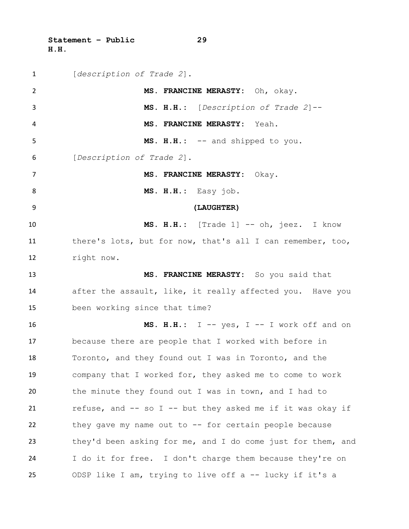**Statement – Public 29 H.H.** 

| $\mathbf{1}$   | [description of Trade 2].                                   |
|----------------|-------------------------------------------------------------|
| $\overline{2}$ | MS. FRANCINE MERASTY: Oh, okay.                             |
| 3              | MS. H.H.: [Description of Trade 2]--                        |
| 4              | MS. FRANCINE MERASTY: Yeah.                                 |
| 5              | MS. H.H.: -- and shipped to you.                            |
| 6              | [Description of Trade 2].                                   |
| $\overline{7}$ | MS. FRANCINE MERASTY: Okay.                                 |
| 8              | MS. H.H.: Easy job.                                         |
| 9              | (LAUGHTER)                                                  |
| 10             | MS. H.H.: [Trade 1] -- oh, jeez. I know                     |
| 11             | there's lots, but for now, that's all I can remember, too,  |
| 12             | right now.                                                  |
| 13             | MS. FRANCINE MERASTY: So you said that                      |
| 14             | after the assault, like, it really affected you. Have you   |
| 15             | been working since that time?                               |
| 16             | MS. H.H.: $I - yes$ , $I - I$ work off and on               |
| 17             | because there are people that I worked with before in       |
| 18             | Toronto, and they found out I was in Toronto, and the       |
| 19             | company that I worked for, they asked me to come to work    |
| 20             | the minute they found out I was in town, and I had to       |
| 21             | refuse, and -- so I -- but they asked me if it was okay if  |
| 22             | they gave my name out to -- for certain people because      |
| 23             | they'd been asking for me, and I do come just for them, and |
| 24             | I do it for free. I don't charge them because they're on    |
| 25             | ODSP like I am, trying to live off a -- lucky if it's a     |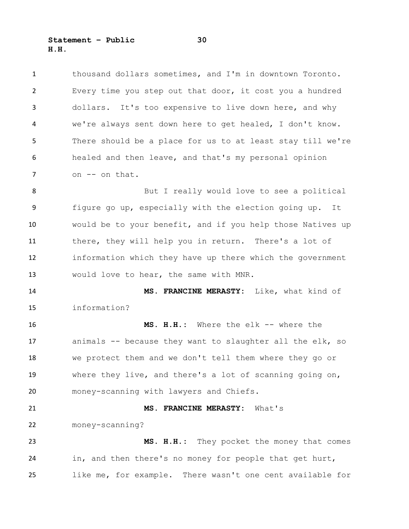**Statement – Public 30 H.H.** 

 thousand dollars sometimes, and I'm in downtown Toronto. Every time you step out that door, it cost you a hundred dollars. It's too expensive to live down here, and why we're always sent down here to get healed, I don't know. There should be a place for us to at least stay till we're healed and then leave, and that's my personal opinion 7 on -- on that.

8 But I really would love to see a political figure go up, especially with the election going up. It would be to your benefit, and if you help those Natives up there, they will help you in return. There's a lot of information which they have up there which the government would love to hear, the same with MNR.

 **MS. FRANCINE MERASTY:** Like, what kind of information?

 **MS. H.H.:** Where the elk -- where the animals -- because they want to slaughter all the elk, so we protect them and we don't tell them where they go or where they live, and there's a lot of scanning going on, money-scanning with lawyers and Chiefs.

**MS. FRANCINE MERASTY:** What's

money-scanning?

 **MS. H.H.:** They pocket the money that comes in, and then there's no money for people that get hurt, like me, for example. There wasn't one cent available for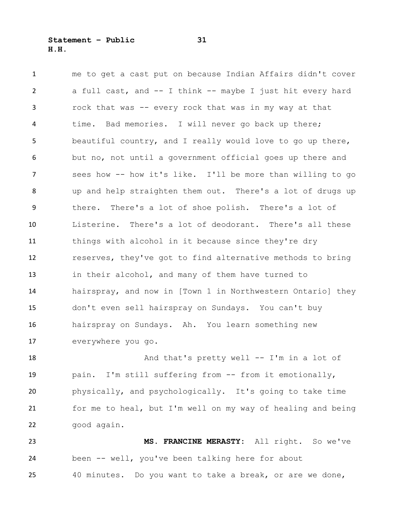me to get a cast put on because Indian Affairs didn't cover a full cast, and -- I think -- maybe I just hit every hard rock that was -- every rock that was in my way at that time. Bad memories. I will never go back up there; beautiful country, and I really would love to go up there, but no, not until a government official goes up there and sees how -- how it's like. I'll be more than willing to go up and help straighten them out. There's a lot of drugs up there. There's a lot of shoe polish. There's a lot of Listerine. There's a lot of deodorant. There's all these things with alcohol in it because since they're dry reserves, they've got to find alternative methods to bring in their alcohol, and many of them have turned to hairspray, and now in [Town 1 in Northwestern Ontario] they don't even sell hairspray on Sundays. You can't buy hairspray on Sundays. Ah. You learn something new everywhere you go.

18 And that's pretty well -- I'm in a lot of pain. I'm still suffering from -- from it emotionally, physically, and psychologically. It's going to take time for me to heal, but I'm well on my way of healing and being good again.

 **MS. FRANCINE MERASTY:** All right. So we've been -- well, you've been talking here for about 40 minutes. Do you want to take a break, or are we done,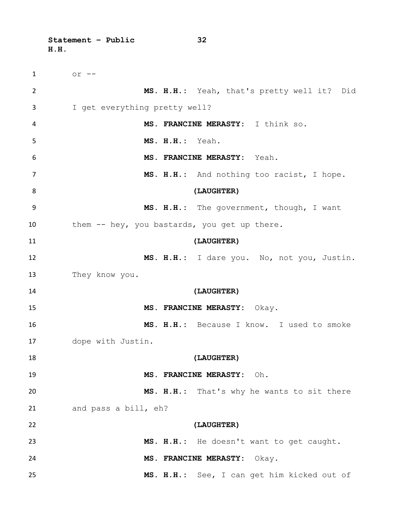**Statement – Public 32 H.H.** 

 or -- **MS. H.H.:** Yeah, that's pretty well it? Did I get everything pretty well? **MS. FRANCINE MERASTY:** I think so. **MS. H.H.:** Yeah. **MS. FRANCINE MERASTY:** Yeah. **MS. H.H.:** And nothing too racist, I hope. **(LAUGHTER) MS. H.H.:** The government, though, I want 10 them -- hey, you bastards, you get up there. **(LAUGHTER) MS. H.H.:** I dare you. No, not you, Justin. They know you. **(LAUGHTER) MS. FRANCINE MERASTY:** Okay. **MS. H.H.:** Because I know. I used to smoke dope with Justin. **(LAUGHTER) MS. FRANCINE MERASTY:** Oh. **MS. H.H.:** That's why he wants to sit there and pass a bill, eh? **(LAUGHTER) MS. H.H.:** He doesn't want to get caught. **MS. FRANCINE MERASTY:** Okay. **MS. H.H.:** See, I can get him kicked out of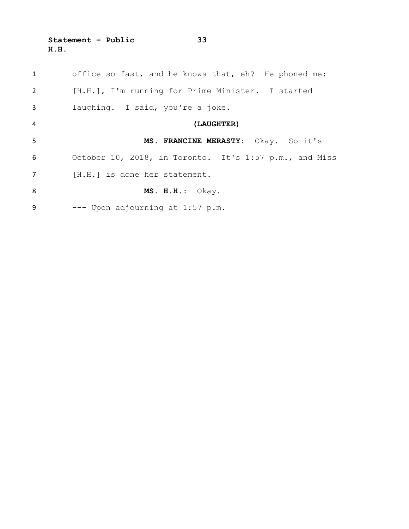**Statement – Public 33 H.H.** 

| 1              | office so fast, and he knows that, eh? He phoned me:   |
|----------------|--------------------------------------------------------|
| $\overline{2}$ | [H.H.], I'm running for Prime Minister. I started      |
| 3              | laughing. I said, you're a joke.                       |
| $\overline{4}$ | (LAUGHTER)                                             |
| 5              | MS. FRANCINE MERASTY: Okay. So it's                    |
| 6              | October 10, 2018, in Toronto. It's 1:57 p.m., and Miss |
| $\overline{7}$ | [H.H.] is done her statement.                          |
| 8              | $MS. H.H.:$ Okay.                                      |
| 9              | --- Upon adjourning at 1:57 p.m.                       |